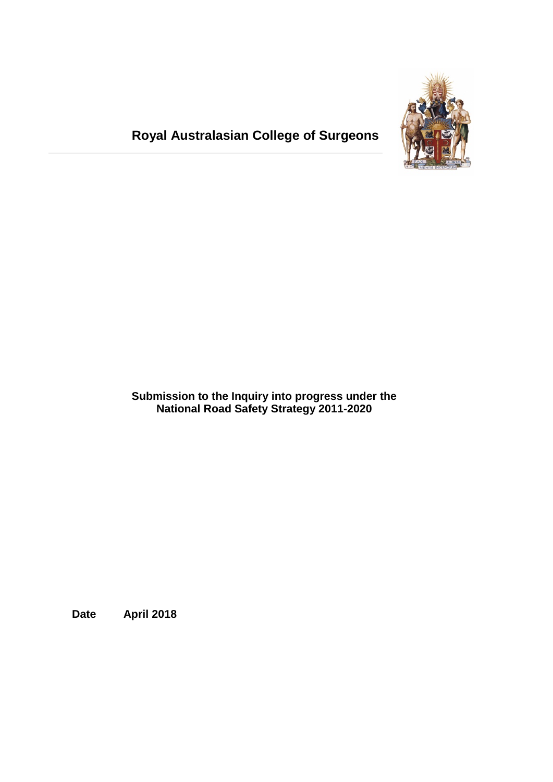

# **Royal Australasian College of Surgeons**

**Submission to the Inquiry into progress under the National Road Safety Strategy 2011-2020**

**Date April 2018**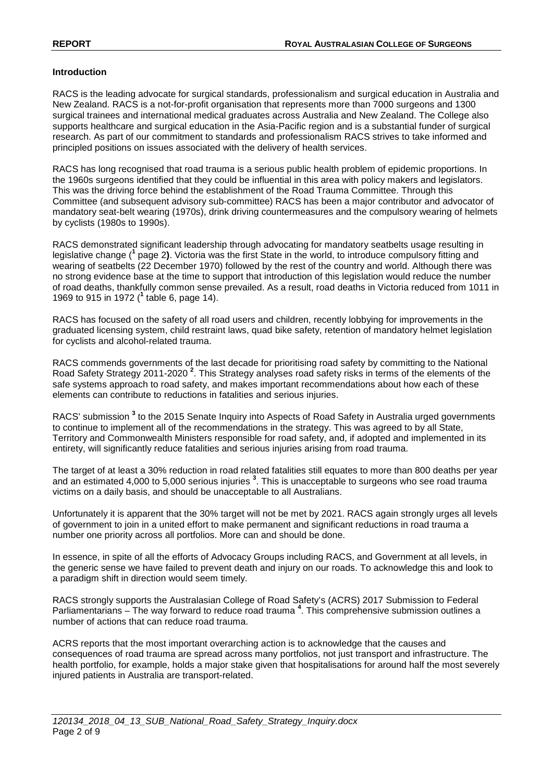## **Introduction**

RACS is the leading advocate for surgical standards, professionalism and surgical education in Australia and New Zealand. RACS is a not-for-profit organisation that represents more than 7000 surgeons and 1300 surgical trainees and international medical graduates across Australia and New Zealand. The College also supports healthcare and surgical education in the Asia-Pacific region and is a substantial funder of surgical research. As part of our commitment to standards and professionalism RACS strives to take informed and principled positions on issues associated with the delivery of health services.

RACS has long recognised that road trauma is a serious public health problem of epidemic proportions. In the 1960s surgeons identified that they could be influential in this area with policy makers and legislators. This was the driving force behind the establishment of the Road Trauma Committee. Through this Committee (and subsequent advisory sub-committee) RACS has been a major contributor and advocator of mandatory seat-belt wearing (1970s), drink driving countermeasures and the compulsory wearing of helmets by cyclists (1980s to 1990s).

RACS demonstrated significant leadership through advocating for mandatory seatbelts usage resulting in legislative change ( **<sup>1</sup>** page 2**)**. Victoria was the first State in the world, to introduce compulsory fitting and wearing of seatbelts (22 December 1970) followed by the rest of the country and world. Although there was no strong evidence base at the time to support that introduction of this legislation would reduce the number of road deaths, thankfully common sense prevailed. As a result, road deaths in Victoria reduced from 1011 in 1969 to 915 in 1972 ( **<sup>1</sup>** table 6, page 14).

RACS has focused on the safety of all road users and children, recently lobbying for improvements in the graduated licensing system, child restraint laws, quad bike safety, retention of mandatory helmet legislation for cyclists and alcohol-related trauma.

RACS commends governments of the last decade for prioritising road safety by committing to the National Road Safety Strategy 2011-2020<sup>2</sup>. This Strategy analyses road safety risks in terms of the elements of the safe systems approach to road safety, and makes important recommendations about how each of these elements can contribute to reductions in fatalities and serious injuries.

RACS' submission **<sup>3</sup>** to the 2015 Senate Inquiry into Aspects of Road Safety in Australia urged governments to continue to implement all of the recommendations in the strategy. This was agreed to by all State, Territory and Commonwealth Ministers responsible for road safety, and, if adopted and implemented in its entirety, will significantly reduce fatalities and serious injuries arising from road trauma.

The target of at least a 30% reduction in road related fatalities still equates to more than 800 deaths per year and an estimated 4,000 to 5,000 serious injuries **<sup>3</sup>** . This is unacceptable to surgeons who see road trauma victims on a daily basis, and should be unacceptable to all Australians.

Unfortunately it is apparent that the 30% target will not be met by 2021. RACS again strongly urges all levels of government to join in a united effort to make permanent and significant reductions in road trauma a number one priority across all portfolios. More can and should be done.

In essence, in spite of all the efforts of Advocacy Groups including RACS, and Government at all levels, in the generic sense we have failed to prevent death and injury on our roads. To acknowledge this and look to a paradigm shift in direction would seem timely.

RACS strongly supports the Australasian College of Road Safety's (ACRS) 2017 Submission to Federal Parliamentarians – The way forward to reduce road trauma **<sup>4</sup>** . This comprehensive submission outlines a number of actions that can reduce road trauma.

ACRS reports that the most important overarching action is to acknowledge that the causes and consequences of road trauma are spread across many portfolios, not just transport and infrastructure. The health portfolio, for example, holds a major stake given that hospitalisations for around half the most severely injured patients in Australia are transport-related.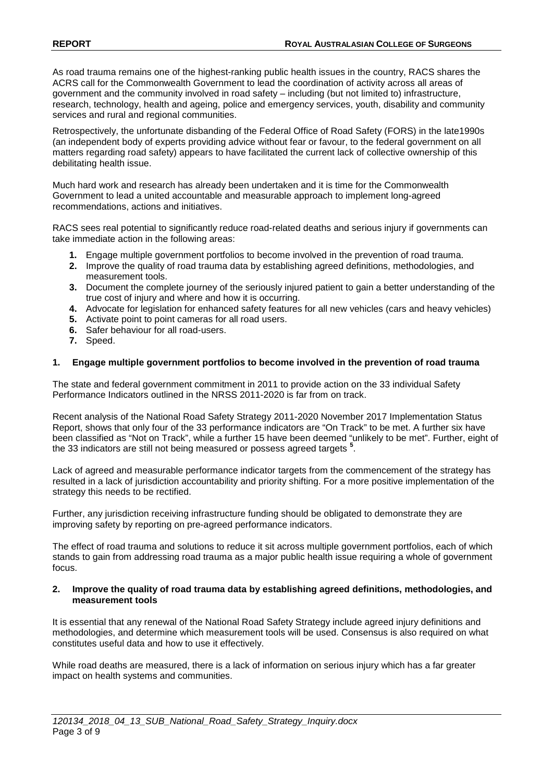As road trauma remains one of the highest-ranking public health issues in the country, RACS shares the ACRS call for the Commonwealth Government to lead the coordination of activity across all areas of government and the community involved in road safety – including (but not limited to) infrastructure, research, technology, health and ageing, police and emergency services, youth, disability and community services and rural and regional communities.

Retrospectively, the unfortunate disbanding of the Federal Office of Road Safety (FORS) in the late1990s (an independent body of experts providing advice without fear or favour, to the federal government on all matters regarding road safety) appears to have facilitated the current lack of collective ownership of this debilitating health issue.

Much hard work and research has already been undertaken and it is time for the Commonwealth Government to lead a united accountable and measurable approach to implement long-agreed recommendations, actions and initiatives.

RACS sees real potential to significantly reduce road-related deaths and serious injury if governments can take immediate action in the following areas:

- **1.** Engage multiple government portfolios to become involved in the prevention of road trauma.
- **2.** Improve the quality of road trauma data by establishing agreed definitions, methodologies, and measurement tools.
- **3.** Document the complete journey of the seriously injured patient to gain a better understanding of the true cost of injury and where and how it is occurring.
- **4.** Advocate for legislation for enhanced safety features for all new vehicles (cars and heavy vehicles)
- **5.** Activate point to point cameras for all road users.
- **6.** Safer behaviour for all road-users.
- **7.** Speed.

#### **1. Engage multiple government portfolios to become involved in the prevention of road trauma**

The state and federal government commitment in 2011 to provide action on the 33 individual Safety Performance Indicators outlined in the NRSS 2011-2020 is far from on track.

Recent analysis of the National Road Safety Strategy 2011-2020 November 2017 Implementation Status Report, shows that only four of the 33 performance indicators are "On Track" to be met. A further six have been classified as "Not on Track", while a further 15 have been deemed "unlikely to be met". Further, eight of the 33 indicators are still not being measured or possess agreed targets **<sup>5</sup>** .

Lack of agreed and measurable performance indicator targets from the commencement of the strategy has resulted in a lack of jurisdiction accountability and priority shifting. For a more positive implementation of the strategy this needs to be rectified.

Further, any jurisdiction receiving infrastructure funding should be obligated to demonstrate they are improving safety by reporting on pre-agreed performance indicators.

The effect of road trauma and solutions to reduce it sit across multiple government portfolios, each of which stands to gain from addressing road trauma as a major public health issue requiring a whole of government focus.

#### **2. Improve the quality of road trauma data by establishing agreed definitions, methodologies, and measurement tools**

It is essential that any renewal of the National Road Safety Strategy include agreed injury definitions and methodologies, and determine which measurement tools will be used. Consensus is also required on what constitutes useful data and how to use it effectively.

While road deaths are measured, there is a lack of information on serious injury which has a far greater impact on health systems and communities.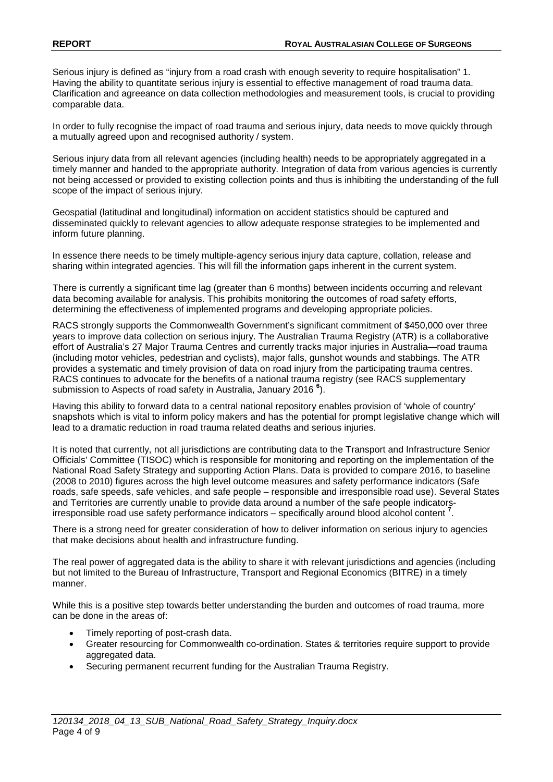Serious injury is defined as "injury from a road crash with enough severity to require hospitalisation" 1. Having the ability to quantitate serious injury is essential to effective management of road trauma data. Clarification and agreeance on data collection methodologies and measurement tools, is crucial to providing comparable data.

In order to fully recognise the impact of road trauma and serious injury, data needs to move quickly through a mutually agreed upon and recognised authority / system.

Serious injury data from all relevant agencies (including health) needs to be appropriately aggregated in a timely manner and handed to the appropriate authority. Integration of data from various agencies is currently not being accessed or provided to existing collection points and thus is inhibiting the understanding of the full scope of the impact of serious injury.

Geospatial (latitudinal and longitudinal) information on accident statistics should be captured and disseminated quickly to relevant agencies to allow adequate response strategies to be implemented and inform future planning.

In essence there needs to be timely multiple-agency serious injury data capture, collation, release and sharing within integrated agencies. This will fill the information gaps inherent in the current system.

There is currently a significant time lag (greater than 6 months) between incidents occurring and relevant data becoming available for analysis. This prohibits monitoring the outcomes of road safety efforts, determining the effectiveness of implemented programs and developing appropriate policies.

RACS strongly supports the Commonwealth Government's significant commitment of \$450,000 over three years to improve data collection on serious injury. The Australian Trauma Registry (ATR) is a collaborative effort of Australia's 27 Major Trauma Centres and currently tracks major injuries in Australia—road trauma (including motor vehicles, pedestrian and cyclists), major falls, gunshot wounds and stabbings. The ATR provides a systematic and timely provision of data on road injury from the participating trauma centres. RACS continues to advocate for the benefits of a national trauma registry (see RACS supplementary submission to Aspects of road safety in Australia, January 2016 **<sup>6</sup>** ).

Having this ability to forward data to a central national repository enables provision of 'whole of country' snapshots which is vital to inform policy makers and has the potential for prompt legislative change which will lead to a dramatic reduction in road trauma related deaths and serious injuries.

It is noted that currently, not all jurisdictions are contributing data to the Transport and Infrastructure Senior Officials' Committee (TISOC) which is responsible for monitoring and reporting on the implementation of the National Road Safety Strategy and supporting Action Plans. Data is provided to compare 2016, to baseline (2008 to 2010) figures across the high level outcome measures and safety performance indicators (Safe roads, safe speeds, safe vehicles, and safe people – responsible and irresponsible road use). Several States and Territories are currently unable to provide data around a number of the safe people indicatorsirresponsible road use safety performance indicators – specifically around blood alcohol content **<sup>7</sup>** .

There is a strong need for greater consideration of how to deliver information on serious injury to agencies that make decisions about health and infrastructure funding.

The real power of aggregated data is the ability to share it with relevant jurisdictions and agencies (including but not limited to the Bureau of Infrastructure, Transport and Regional Economics (BITRE) in a timely manner.

While this is a positive step towards better understanding the burden and outcomes of road trauma, more can be done in the areas of:

- Timely reporting of post-crash data.
- Greater resourcing for Commonwealth co-ordination. States & territories require support to provide aggregated data.
- Securing permanent recurrent funding for the Australian Trauma Registry.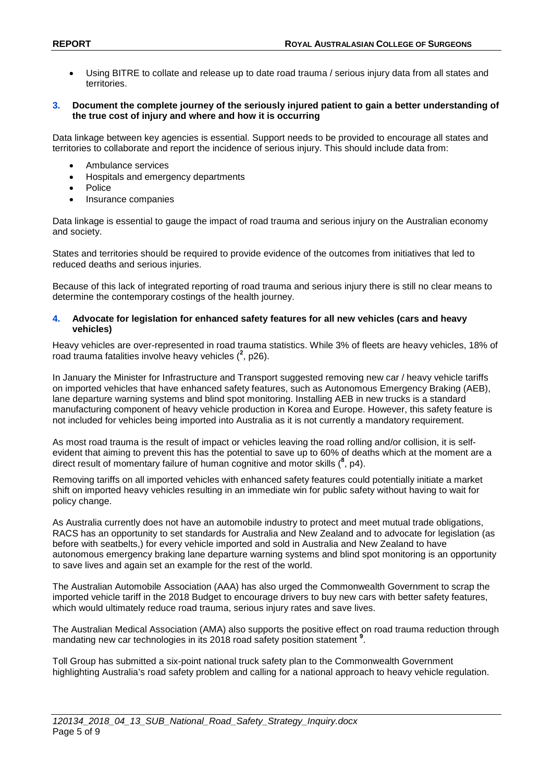• Using BITRE to collate and release up to date road trauma / serious injury data from all states and territories.

#### **3. Document the complete journey of the seriously injured patient to gain a better understanding of the true cost of injury and where and how it is occurring**

Data linkage between key agencies is essential. Support needs to be provided to encourage all states and territories to collaborate and report the incidence of serious injury. This should include data from:

- Ambulance services
- Hospitals and emergency departments
- Police
- Insurance companies

Data linkage is essential to gauge the impact of road trauma and serious injury on the Australian economy and society.

States and territories should be required to provide evidence of the outcomes from initiatives that led to reduced deaths and serious injuries.

Because of this lack of integrated reporting of road trauma and serious injury there is still no clear means to determine the contemporary costings of the health journey.

#### **4. Advocate for legislation for enhanced safety features for all new vehicles (cars and heavy vehicles)**

Heavy vehicles are over-represented in road trauma statistics. While 3% of fleets are heavy vehicles, 18% of road trauma fatalities involve heavy vehicles  $(^2$ , p26).

In January the Minister for Infrastructure and Transport suggested removing new car / heavy vehicle tariffs on imported vehicles that have enhanced safety features, such as Autonomous Emergency Braking (AEB), lane departure warning systems and blind spot monitoring. Installing AEB in new trucks is a standard manufacturing component of heavy vehicle production in Korea and Europe. However, this safety feature is not included for vehicles being imported into Australia as it is not currently a mandatory requirement.

As most road trauma is the result of impact or vehicles leaving the road rolling and/or collision, it is selfevident that aiming to prevent this has the potential to save up to 60% of deaths which at the moment are a direct result of momentary failure of human cognitive and motor skills ( **8** , p4).

Removing tariffs on all imported vehicles with enhanced safety features could potentially initiate a market shift on imported heavy vehicles resulting in an immediate win for public safety without having to wait for policy change.

As Australia currently does not have an automobile industry to protect and meet mutual trade obligations, RACS has an opportunity to set standards for Australia and New Zealand and to advocate for legislation (as before with seatbelts,) for every vehicle imported and sold in Australia and New Zealand to have autonomous emergency braking lane departure warning systems and blind spot monitoring is an opportunity to save lives and again set an example for the rest of the world.

The Australian Automobile Association (AAA) has also urged the Commonwealth Government to scrap the imported vehicle tariff in the 2018 Budget to encourage drivers to buy new cars with better safety features, which would ultimately reduce road trauma, serious injury rates and save lives.

The Australian Medical Association (AMA) also supports the positive effect on road trauma reduction through mandating new car technologies in its 2018 road safety position statement **<sup>9</sup>** .

Toll Group has submitted a six-point national truck safety plan to the Commonwealth Government highlighting Australia's road safety problem and calling for a national approach to heavy vehicle regulation.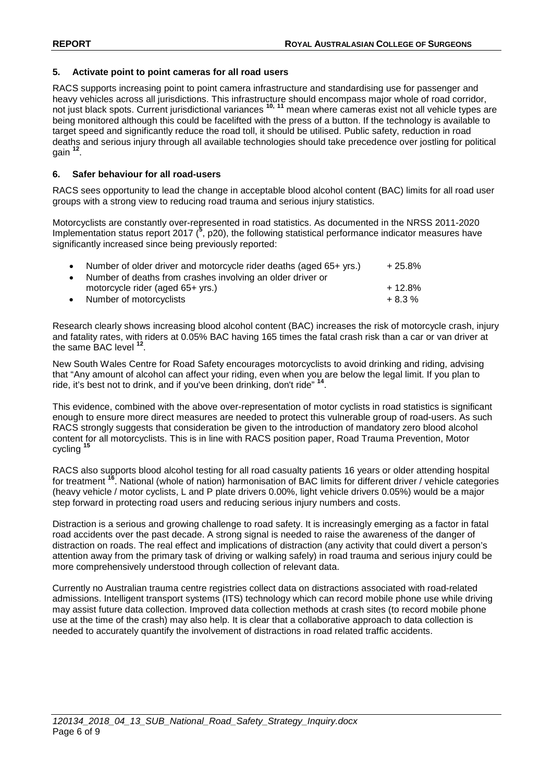## **5. Activate point to point cameras for all road users**

RACS supports increasing point to point camera infrastructure and standardising use for passenger and heavy vehicles across all jurisdictions. This infrastructure should encompass major whole of road corridor, not just black spots. Current jurisdictional variances **10, <sup>11</sup>** mean where cameras exist not all vehicle types are being monitored although this could be facelifted with the press of a button. If the technology is available to target speed and significantly reduce the road toll, it should be utilised. Public safety, reduction in road deaths and serious injury through all available technologies should take precedence over jostling for political gain **<sup>12</sup>** .

## **6. Safer behaviour for all road-users**

RACS sees opportunity to lead the change in acceptable blood alcohol content (BAC) limits for all road user groups with a strong view to reducing road trauma and serious injury statistics.

Motorcyclists are constantly over-represented in road statistics. As documented in the NRSS 2011-2020 Implementation status report 2017 (<sup>5</sup>, p20), the following statistical performance indicator measures have significantly increased since being previously reported:

| $+12.8%$ |
|----------|
| $+8.3\%$ |
|          |

Research clearly shows increasing blood alcohol content (BAC) increases the risk of motorcycle crash, injury and fatality rates, with riders at 0.05% BAC having 165 times the fatal crash risk than a car or van driver at the same BAC level **<sup>12</sup>**.

New South Wales Centre for Road Safety encourages motorcyclists to avoid drinking and riding, advising that "Any amount of alcohol can affect your riding, even when you are below the legal limit. If you plan to ride, it's best not to drink, and if you've been drinking, don't ride" **<sup>14</sup>**.

This evidence, combined with the above over-representation of motor cyclists in road statistics is significant enough to ensure more direct measures are needed to protect this vulnerable group of road-users. As such RACS strongly suggests that consideration be given to the introduction of mandatory zero blood alcohol content for all motorcyclists. This is in line with RACS position paper, Road Trauma Prevention, Motor cycling<sup>1</sup>

RACS also supports blood alcohol testing for all road casualty patients 16 years or older attending hospital for treatment **<sup>16</sup>**. National (whole of nation) harmonisation of BAC limits for different driver / vehicle categories (heavy vehicle / motor cyclists, L and P plate drivers 0.00%, light vehicle drivers 0.05%) would be a major step forward in protecting road users and reducing serious injury numbers and costs.

Distraction is a serious and growing challenge to road safety. It is increasingly emerging as a factor in fatal road accidents over the past decade. A strong signal is needed to raise the awareness of the danger of distraction on roads. The real effect and implications of distraction (any activity that could divert a person's attention away from the primary task of driving or walking safely) in road trauma and serious injury could be more comprehensively understood through collection of relevant data.

Currently no Australian trauma centre registries collect data on distractions associated with road-related admissions. Intelligent transport systems (ITS) technology which can record mobile phone use while driving may assist future data collection. Improved data collection methods at crash sites (to record mobile phone use at the time of the crash) may also help. It is clear that a collaborative approach to data collection is needed to accurately quantify the involvement of distractions in road related traffic accidents.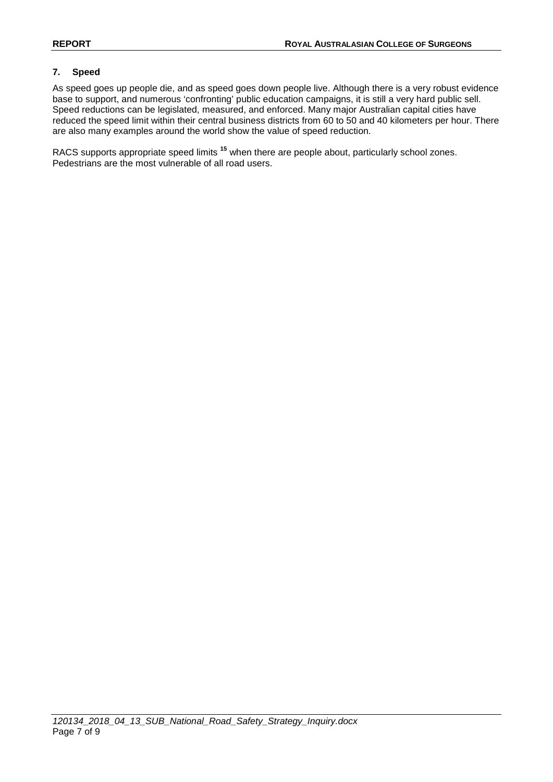# **7. Speed**

As speed goes up people die, and as speed goes down people live. Although there is a very robust evidence base to support, and numerous 'confronting' public education campaigns, it is still a very hard public sell. Speed reductions can be legislated, measured, and enforced. Many major Australian capital cities have reduced the speed limit within their central business districts from 60 to 50 and 40 kilometers per hour. There are also many examples around the world show the value of speed reduction.

RACS supports appropriate speed limits **<sup>15</sup>** when there are people about, particularly school zones. Pedestrians are the most vulnerable of all road users.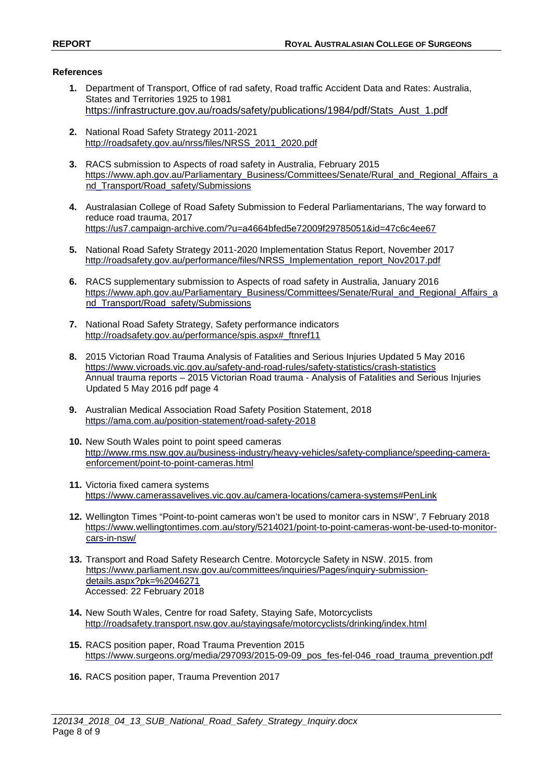## **References**

- **1.** Department of Transport, Office of rad safety, Road traffic Accident Data and Rates: Australia, States and Territories 1925 to 1981 https://infrastructure.gov.au/roads/safety/publications/1984/pdf/Stats\_Aust\_1.pdf
- **2.** National Road Safety Strategy 2011-2021 [http://roadsafety.gov.au/nrss/files/NRSS\\_2011\\_2020.pdf](http://roadsafety.gov.au/nrss/files/NRSS_2011_2020.pdf)
- **3.** RACS submission to Aspects of road safety in Australia, February 2015 [https://www.aph.gov.au/Parliamentary\\_Business/Committees/Senate/Rural\\_and\\_Regional\\_Affairs\\_a](https://www.aph.gov.au/Parliamentary_Business/Committees/Senate/Rural_and_Regional_Affairs_and_Transport/Road_safety/Submissions) [nd\\_Transport/Road\\_safety/Submissions](https://www.aph.gov.au/Parliamentary_Business/Committees/Senate/Rural_and_Regional_Affairs_and_Transport/Road_safety/Submissions)
- **4.** Australasian College of Road Safety Submission to Federal Parliamentarians, The way forward to reduce road trauma, 2017 <https://us7.campaign-archive.com/?u=a4664bfed5e72009f29785051&id=47c6c4ee67>
- **5.** National Road Safety Strategy 2011-2020 Implementation Status Report, November 2017 [http://roadsafety.gov.au/performance/files/NRSS\\_Implementation\\_report\\_Nov2017.pdf](http://roadsafety.gov.au/performance/files/NRSS_Implementation_report_Nov2017.pdf)
- **6.** RACS supplementary submission to Aspects of road safety in Australia, January 2016 [https://www.aph.gov.au/Parliamentary\\_Business/Committees/Senate/Rural\\_and\\_Regional\\_Affairs\\_a](https://www.aph.gov.au/Parliamentary_Business/Committees/Senate/Rural_and_Regional_Affairs_and_Transport/Road_safety/Submissions) nd Transport/Road\_safety/Submissions
- **7.** National Road Safety Strategy, Safety performance indicators [http://roadsafety.gov.au/performance/spis.aspx#\\_ftnref11](http://roadsafety.gov.au/performance/spis.aspx#_ftnref11)
- **8.** 2015 Victorian Road Trauma Analysis of Fatalities and Serious Injuries Updated 5 May 2016 <https://www.vicroads.vic.gov.au/safety-and-road-rules/safety-statistics/crash-statistics> Annual trauma reports – 2015 Victorian Road trauma - Analysis of Fatalities and Serious Injuries Updated 5 May 2016 pdf page 4
- **9.** Australian Medical Association Road Safety Position Statement, 2018 <https://ama.com.au/position-statement/road-safety-2018>
- **10.** New South Wales point to point speed cameras [http://www.rms.nsw.gov.au/business-industry/heavy-vehicles/safety-compliance/speeding-camera](http://www.rms.nsw.gov.au/business-industry/heavy-vehicles/safety-compliance/speeding-camera-enforcement/point-to-point-cameras.html)[enforcement/point-to-point-cameras.html](http://www.rms.nsw.gov.au/business-industry/heavy-vehicles/safety-compliance/speeding-camera-enforcement/point-to-point-cameras.html)
- **11.** Victoria fixed camera systems <https://www.camerassavelives.vic.gov.au/camera-locations/camera-systems#PenLink>
- **12.** Wellington Times "Point-to-point cameras won't be used to monitor cars in NSW', 7 February 2018 [https://www.wellingtontimes.com.au/story/5214021/point-to-point-cameras-wont-be-used-to-monitor](https://www.wellingtontimes.com.au/story/5214021/point-to-point-cameras-wont-be-used-to-monitor-cars-in-nsw/)[cars-in-nsw/](https://www.wellingtontimes.com.au/story/5214021/point-to-point-cameras-wont-be-used-to-monitor-cars-in-nsw/)
- **13.** Transport and Road Safety Research Centre. Motorcycle Safety in NSW. 2015. from [https://www.parliament.nsw.gov.au/committees/inquiries/Pages/inquiry-submission](https://www.parliament.nsw.gov.au/committees/inquiries/Pages/inquiry-submission-details.aspx?pk=%252046271)[details.aspx?pk=%2046271](https://www.parliament.nsw.gov.au/committees/inquiries/Pages/inquiry-submission-details.aspx?pk=%252046271) Accessed: 22 February 2018
- **14.** New South Wales, Centre for road Safety, Staying Safe, Motorcyclists <http://roadsafety.transport.nsw.gov.au/stayingsafe/motorcyclists/drinking/index.html>
- **15.** RACS position paper, Road Trauma Prevention 2015 [https://www.surgeons.org/media/297093/2015-09-09\\_pos\\_fes-fel-046\\_road\\_trauma\\_prevention.pdf](https://www.surgeons.org/media/297093/2015-09-09_pos_fes-fel-046_road_trauma_prevention.pdf)
- **16.** RACS position paper, Trauma Prevention 2017